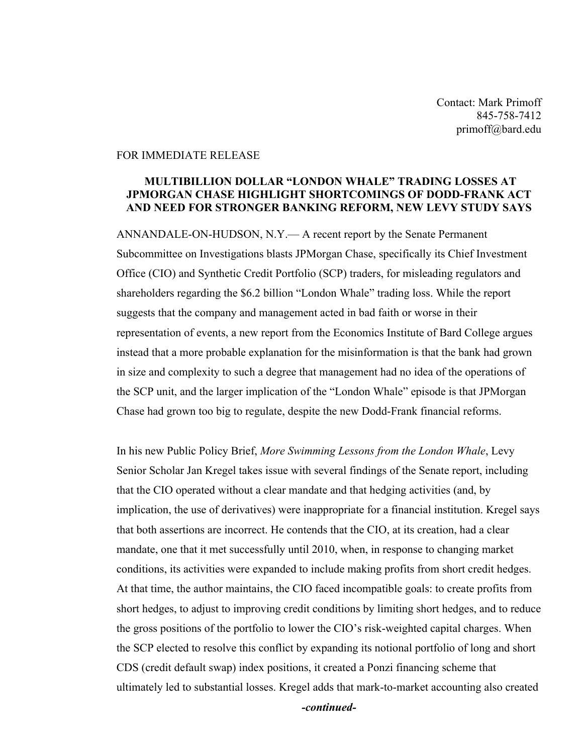Contact: Mark Primoff 845-758-7412 primoff@bard.edu

## FOR IMMEDIATE RELEASE

## **MULTIBILLION DOLLAR "LONDON WHALE" TRADING LOSSES AT JPMORGAN CHASE HIGHLIGHT SHORTCOMINGS OF DODD-FRANK ACT AND NEED FOR STRONGER BANKING REFORM, NEW LEVY STUDY SAYS**

ANNANDALE-ON-HUDSON, N.Y.— A recent report by the Senate Permanent Subcommittee on Investigations blasts JPMorgan Chase, specifically its Chief Investment Office (CIO) and Synthetic Credit Portfolio (SCP) traders, for misleading regulators and shareholders regarding the \$6.2 billion "London Whale" trading loss. While the report suggests that the company and management acted in bad faith or worse in their representation of events, a new report from the Economics Institute of Bard College argues instead that a more probable explanation for the misinformation is that the bank had grown in size and complexity to such a degree that management had no idea of the operations of the SCP unit, and the larger implication of the "London Whale" episode is that JPMorgan Chase had grown too big to regulate, despite the new Dodd-Frank financial reforms.

In his new Public Policy Brief, *More Swimming Lessons from the London Whale*, Levy Senior Scholar Jan Kregel takes issue with several findings of the Senate report, including that the CIO operated without a clear mandate and that hedging activities (and, by implication, the use of derivatives) were inappropriate for a financial institution. Kregel says that both assertions are incorrect. He contends that the CIO, at its creation, had a clear mandate, one that it met successfully until 2010, when, in response to changing market conditions, its activities were expanded to include making profits from short credit hedges. At that time, the author maintains, the CIO faced incompatible goals: to create profits from short hedges, to adjust to improving credit conditions by limiting short hedges, and to reduce the gross positions of the portfolio to lower the CIO's risk-weighted capital charges. When the SCP elected to resolve this conflict by expanding its notional portfolio of long and short CDS (credit default swap) index positions, it created a Ponzi financing scheme that ultimately led to substantial losses. Kregel adds that mark-to-market accounting also created

*-continued-*